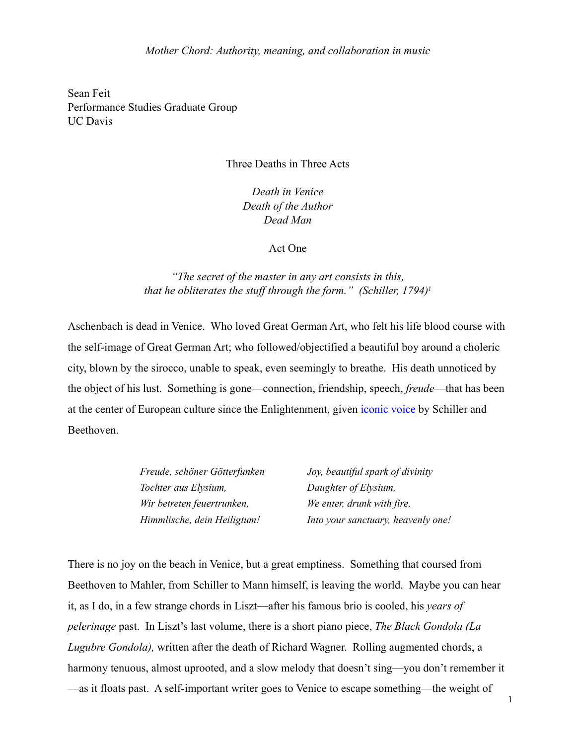Sean Feit Performance Studies Graduate Group UC Davis

## Three Deaths in Three Acts

*Death in Venice Death of the Author Dead Man*

### Act One

# *"The secret of the master in any art consists in this, that he obliterates the stuff through the form." (Schiller, 1794)[1](#page-14-0)*

Aschenbach is dead in Venice. Who loved Great German Art, who felt his life blood course with the self-image of Great German Art; who followed/objectified a beautiful boy around a choleric city, blown by the sirocco, unable to speak, even seemingly to breathe. His death unnoticed by the object of his lust. Something is gone—connection, friendship, speech, *freude*—that has been at the center of European culture since the Enlightenment, given [iconic voice](http://www.youtube.com/watch?v=B_5z0m7cs0A) by Schiller and Beethoven.

| Freude, schöner Götterfunken | Joy, beautiful spark of divinity   |
|------------------------------|------------------------------------|
| Tochter aus Elysium,         | Daughter of Elysium,               |
| Wir betreten feuertrunken,   | We enter, drunk with fire,         |
| Himmlische, dein Heiligtum!  | Into your sanctuary, heavenly one! |

There is no joy on the beach in Venice, but a great emptiness. Something that coursed from Beethoven to Mahler, from Schiller to Mann himself, is leaving the world. Maybe you can hear it, as I do, in a few strange chords in Liszt—after his famous brio is cooled, his *years of pelerinage* past. In Liszt's last volume, there is a short piano piece, *The Black Gondola (La Lugubre Gondola),* written after the death of Richard Wagner. Rolling augmented chords, a harmony tenuous, almost uprooted, and a slow melody that doesn't sing—you don't remember it —as it floats past. A self-important writer goes to Venice to escape something—the weight of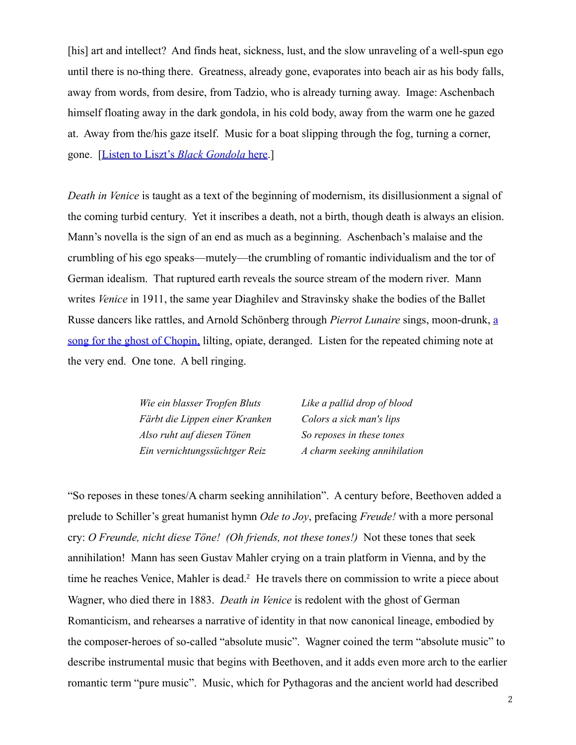[his] art and intellect? And finds heat, sickness, lust, and the slow unraveling of a well-spun ego until there is no-thing there. Greatness, already gone, evaporates into beach air as his body falls, away from words, from desire, from Tadzio, who is already turning away. Image: Aschenbach himself floating away in the dark gondola, in his cold body, away from the warm one he gazed at. Away from the/his gaze itself. Music for a boat slipping through the fog, turning a corner, gone. [\[Listen to Liszt's](http://www.youtube.com/watch?v=dDEBfJxsJZ8&feature=related) *Black Gondola* here.]

*Death in Venice* is taught as a text of the beginning of modernism, its disillusionment a signal of the coming turbid century. Yet it inscribes a death, not a birth, though death is always an elision. Mann's novella is the sign of an end as much as a beginning. Aschenbach's malaise and the crumbling of his ego speaks—mutely—the crumbling of romantic individualism and the tor of German idealism. That ruptured earth reveals the source stream of the modern river. Mann writes *Venice* in 1911, the same year Diaghilev and Stravinsky shake the bodies of the Ballet Russe dancers like rattles, and Arnold Schönberg through *Pierrot Lunaire* sings, moon-drunk, [a](http://www.youtube.com/watch?v=bAY2LtepJ9o)  [song for the ghost of Chopin,](http://www.youtube.com/watch?v=bAY2LtepJ9o) lilting, opiate, deranged. Listen for the repeated chiming note at the very end. One tone. A bell ringing.

> *Wie ein blasser Tropfen Bluts Like a pallid drop of blood Färbt die Lippen einer Kranken Colors a sick man's lips Also ruht auf diesen Tönen So reposes in these tones Ein vernichtungssüchtger Reiz A charm seeking annihilation*

"So reposes in these tones/A charm seeking annihilation". A century before, Beethoven added a prelude to Schiller's great humanist hymn *Ode to Joy*, prefacing *Freude!* with a more personal cry: *O Freunde, nicht diese Töne! (Oh friends, not these tones!)* Not these tones that seek annihilation! Mann has seen Gustav Mahler crying on a train platform in Vienna, and by the time he reaches Venice, Mahler is dead.<sup>[2](#page-14-1)</sup> He travels there on commission to write a piece about Wagner, who died there in 1883. *Death in Venice* is redolent with the ghost of German Romanticism, and rehearses a narrative of identity in that now canonical lineage, embodied by the composer-heroes of so-called "absolute music". Wagner coined the term "absolute music" to describe instrumental music that begins with Beethoven, and it adds even more arch to the earlier romantic term "pure music". Music, which for Pythagoras and the ancient world had described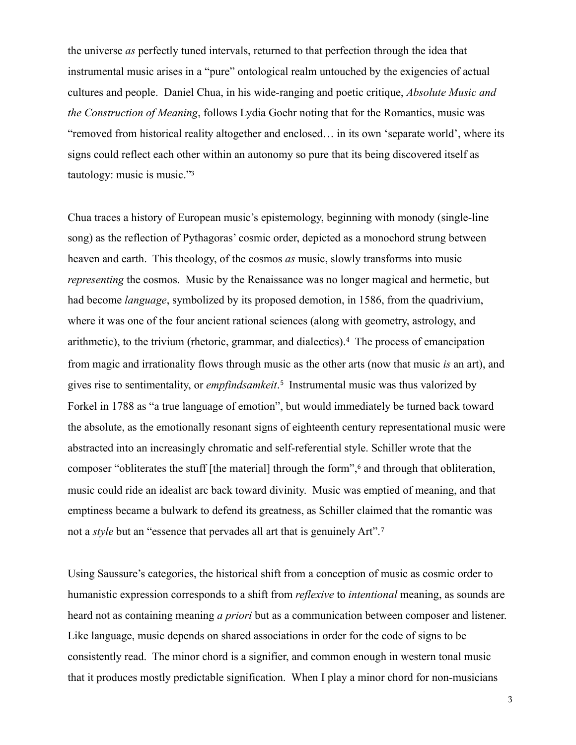the universe *as* perfectly tuned intervals, returned to that perfection through the idea that instrumental music arises in a "pure" ontological realm untouched by the exigencies of actual cultures and people. Daniel Chua, in his wide-ranging and poetic critique, *Absolute Music and the Construction of Meaning*, follows Lydia Goehr noting that for the Romantics, music was "removed from historical reality altogether and enclosed… in its own 'separate world', where its signs could reflect each other within an autonomy so pure that its being discovered itself as tautology: music is music."[3](#page-14-2)

Chua traces a history of European music's epistemology, beginning with monody (single-line song) as the reflection of Pythagoras' cosmic order, depicted as a monochord strung between heaven and earth. This theology, of the cosmos *as* music, slowly transforms into music *representing* the cosmos. Music by the Renaissance was no longer magical and hermetic, but had become *language*, symbolized by its proposed demotion, in 1586, from the quadrivium, where it was one of the four ancient rational sciences (along with geometry, astrology, and arithmetic), to the trivium (rhetoric, grammar, and dialectics).[4](#page-14-3) The process of emancipation from magic and irrationality flows through music as the other arts (now that music *is* an art), and gives rise to sentimentality, or *empfindsamkeit*.[5](#page-14-4) Instrumental music was thus valorized by Forkel in 1788 as "a true language of emotion", but would immediately be turned back toward the absolute, as the emotionally resonant signs of eighteenth century representational music were abstracted into an increasingly chromatic and self-referential style. Schiller wrote that the composer "obliterates the stuff [the material] through the form",<sup>[6](#page-14-5)</sup> and through that obliteration, music could ride an idealist arc back toward divinity. Music was emptied of meaning, and that emptiness became a bulwark to defend its greatness, as Schiller claimed that the romantic was not a *style* but an "essence that pervades all art that is genuinely Art".[7](#page-14-6)

Using Saussure's categories, the historical shift from a conception of music as cosmic order to humanistic expression corresponds to a shift from *reflexive* to *intentional* meaning, as sounds are heard not as containing meaning *a priori* but as a communication between composer and listener. Like language, music depends on shared associations in order for the code of signs to be consistently read. The minor chord is a signifier, and common enough in western tonal music that it produces mostly predictable signification. When I play a minor chord for non-musicians

3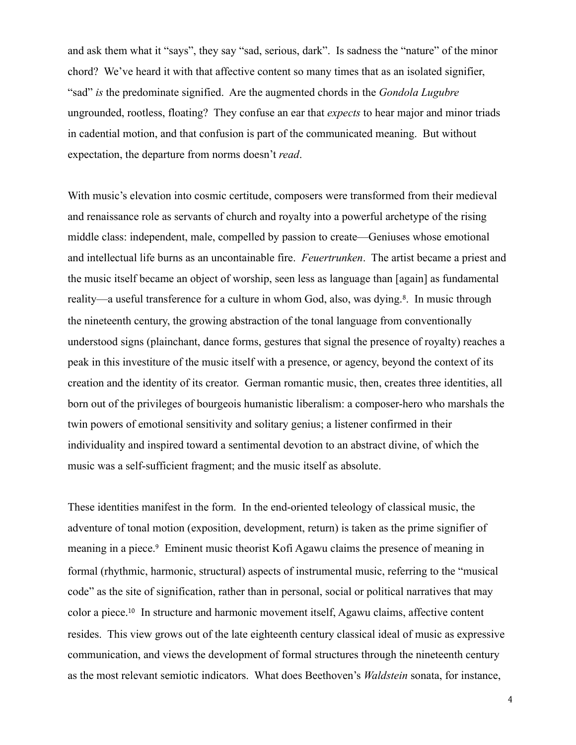and ask them what it "says", they say "sad, serious, dark". Is sadness the "nature" of the minor chord? We've heard it with that affective content so many times that as an isolated signifier, "sad" *is* the predominate signified. Are the augmented chords in the *Gondola Lugubre* ungrounded, rootless, floating? They confuse an ear that *expects* to hear major and minor triads in cadential motion, and that confusion is part of the communicated meaning. But without expectation, the departure from norms doesn't *read*.

With music's elevation into cosmic certitude, composers were transformed from their medieval and renaissance role as servants of church and royalty into a powerful archetype of the rising middle class: independent, male, compelled by passion to create—Geniuses whose emotional and intellectual life burns as an uncontainable fire. *Feuertrunken*. The artist became a priest and the music itself became an object of worship, seen less as language than [again] as fundamental reality—a useful transference for a culture in whom God, also, was dying.<sup>[8](#page-14-7)</sup>. In music through the nineteenth century, the growing abstraction of the tonal language from conventionally understood signs (plainchant, dance forms, gestures that signal the presence of royalty) reaches a peak in this investiture of the music itself with a presence, or agency, beyond the context of its creation and the identity of its creator. German romantic music, then, creates three identities, all born out of the privileges of bourgeois humanistic liberalism: a composer-hero who marshals the twin powers of emotional sensitivity and solitary genius; a listener confirmed in their individuality and inspired toward a sentimental devotion to an abstract divine, of which the music was a self-sufficient fragment; and the music itself as absolute.

These identities manifest in the form. In the end-oriented teleology of classical music, the adventure of tonal motion (exposition, development, return) is taken as the prime signifier of meaning in a piece.<sup>[9](#page-14-8)</sup> Eminent music theorist Kofi Agawu claims the presence of meaning in formal (rhythmic, harmonic, structural) aspects of instrumental music, referring to the "musical code" as the site of signification, rather than in personal, social or political narratives that may color a piece.[10](#page-14-9) In structure and harmonic movement itself, Agawu claims, affective content resides. This view grows out of the late eighteenth century classical ideal of music as expressive communication, and views the development of formal structures through the nineteenth century as the most relevant semiotic indicators. What does Beethoven's *Waldstein* sonata, for instance,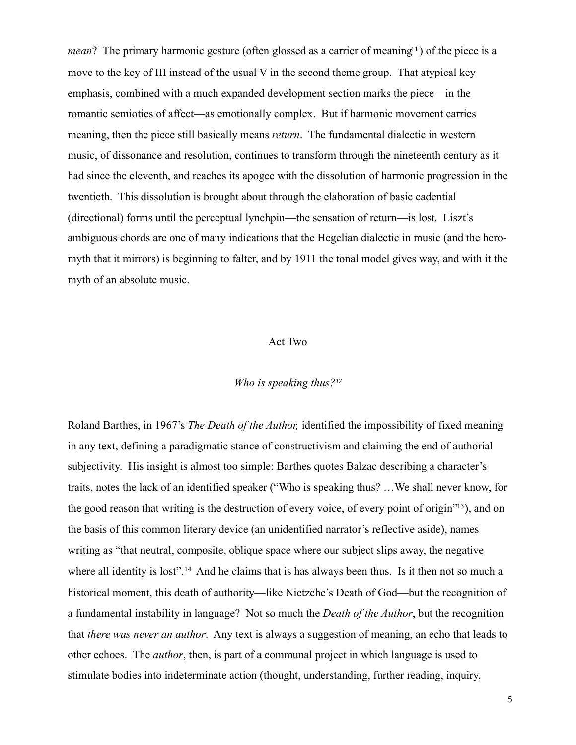*mean*? The primary harmonic gesture (often glossed as a carrier of meaning<sup>[11](#page-14-10)</sup>) of the piece is a move to the key of III instead of the usual V in the second theme group. That atypical key emphasis, combined with a much expanded development section marks the piece—in the romantic semiotics of affect—as emotionally complex. But if harmonic movement carries meaning, then the piece still basically means *return*. The fundamental dialectic in western music, of dissonance and resolution, continues to transform through the nineteenth century as it had since the eleventh, and reaches its apogee with the dissolution of harmonic progression in the twentieth. This dissolution is brought about through the elaboration of basic cadential (directional) forms until the perceptual lynchpin—the sensation of return—is lost. Liszt's ambiguous chords are one of many indications that the Hegelian dialectic in music (and the heromyth that it mirrors) is beginning to falter, and by 1911 the tonal model gives way, and with it the myth of an absolute music.

# Act Two

### *Who is speaking thus?[12](#page-14-11)*

Roland Barthes, in 1967's *The Death of the Author,* identified the impossibility of fixed meaning in any text, defining a paradigmatic stance of constructivism and claiming the end of authorial subjectivity. His insight is almost too simple: Barthes quotes Balzac describing a character's traits, notes the lack of an identified speaker ("Who is speaking thus? …We shall never know, for the good reason that writing is the destruction of every voice, of every point of origin"[13](#page-14-12)), and on the basis of this common literary device (an unidentified narrator's reflective aside), names writing as "that neutral, composite, oblique space where our subject slips away, the negative where all identity is lost".<sup>[14](#page-14-13)</sup> And he claims that is has always been thus. Is it then not so much a historical moment, this death of authority—like Nietzche's Death of God—but the recognition of a fundamental instability in language? Not so much the *Death of the Author*, but the recognition that *there was never an author*. Any text is always a suggestion of meaning, an echo that leads to other echoes. The *author*, then, is part of a communal project in which language is used to stimulate bodies into indeterminate action (thought, understanding, further reading, inquiry,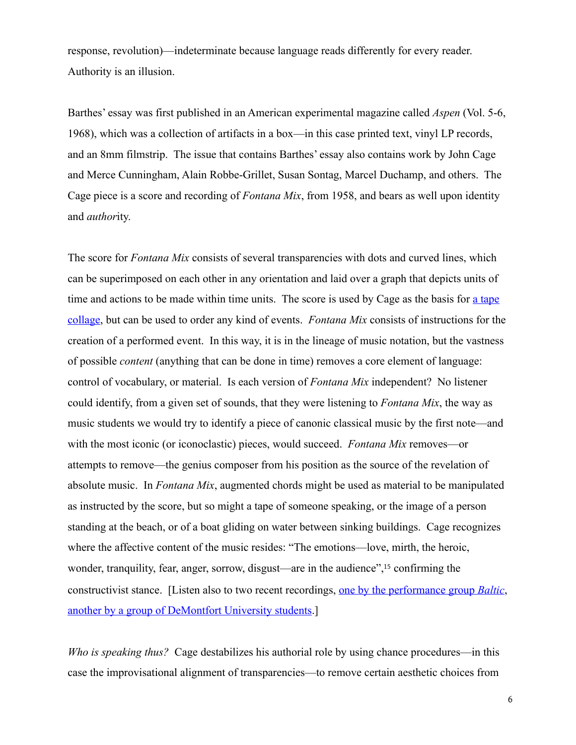response, revolution)—indeterminate because language reads differently for every reader. Authority is an illusion.

Barthes' essay was first published in an American experimental magazine called *Aspen* (Vol. 5-6, 1968), which was a collection of artifacts in a box—in this case printed text, vinyl LP records, and an 8mm filmstrip. The issue that contains Barthes' essay also contains work by John Cage and Merce Cunningham, Alain Robbe-Grillet, Susan Sontag, Marcel Duchamp, and others. The Cage piece is a score and recording of *Fontana Mix*, from 1958, and bears as well upon identity and *author*ity.

The score for *Fontana Mix* consists of several transparencies with dots and curved lines, which can be superimposed on each other in any orientation and laid over a graph that depicts units of time and actions to be made within time units. The score is used by Cage as the basis for a tape [collage,](http://www.youtube.com/watch?v=WhLTjUUFMcs&playnext=1&list=PL4ADD7D626CF1A8DB) but can be used to order any kind of events. *Fontana Mix* consists of instructions for the creation of a performed event. In this way, it is in the lineage of music notation, but the vastness of possible *content* (anything that can be done in time) removes a core element of language: control of vocabulary, or material. Is each version of *Fontana Mix* independent? No listener could identify, from a given set of sounds, that they were listening to *Fontana Mix*, the way as music students we would try to identify a piece of canonic classical music by the first note—and with the most iconic (or iconoclastic) pieces, would succeed. *Fontana Mix* removes—or attempts to remove—the genius composer from his position as the source of the revelation of absolute music. In *Fontana Mix*, augmented chords might be used as material to be manipulated as instructed by the score, but so might a tape of someone speaking, or the image of a person standing at the beach, or of a boat gliding on water between sinking buildings. Cage recognizes where the affective content of the music resides: "The emotions—love, mirth, the heroic, wonder, tranquility, fear, anger, sorrow, disgust—are in the audience",[15](#page-14-14) confirming the constructivist stance. [Listen also to two recent recordings, [one by the performance group](http://www.youtube.com/watch?v=oeaePv3q1Ds) *Baltic*, [another by a group of DeMontfort University students.](http://www.youtube.com/watch?v=BB6vRvc58TI)]

*Who is speaking thus?* Cage destabilizes his authorial role by using chance procedures—in this case the improvisational alignment of transparencies—to remove certain aesthetic choices from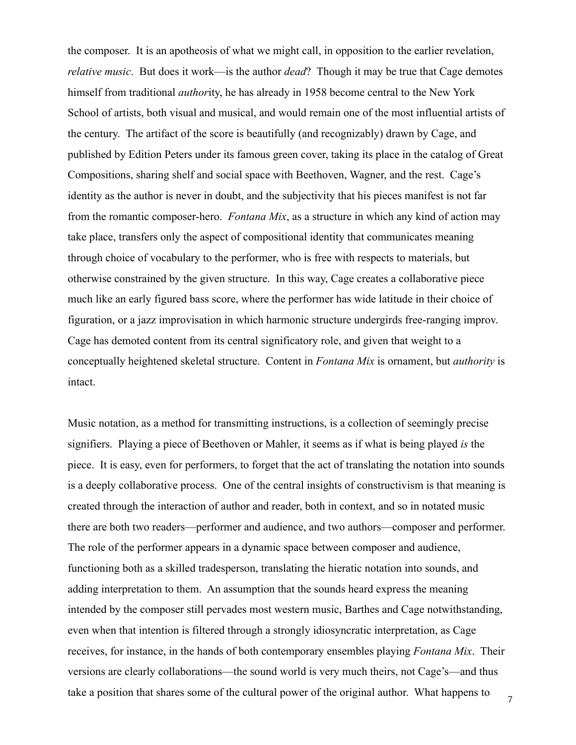the composer. It is an apotheosis of what we might call, in opposition to the earlier revelation, *relative music*. But does it work—is the author *dead*? Though it may be true that Cage demotes himself from traditional *author*ity, he has already in 1958 become central to the New York School of artists, both visual and musical, and would remain one of the most influential artists of the century. The artifact of the score is beautifully (and recognizably) drawn by Cage, and published by Edition Peters under its famous green cover, taking its place in the catalog of Great Compositions, sharing shelf and social space with Beethoven, Wagner, and the rest. Cage's identity as the author is never in doubt, and the subjectivity that his pieces manifest is not far from the romantic composer-hero. *Fontana Mix*, as a structure in which any kind of action may take place, transfers only the aspect of compositional identity that communicates meaning through choice of vocabulary to the performer, who is free with respects to materials, but otherwise constrained by the given structure. In this way, Cage creates a collaborative piece much like an early figured bass score, where the performer has wide latitude in their choice of figuration, or a jazz improvisation in which harmonic structure undergirds free-ranging improv. Cage has demoted content from its central significatory role, and given that weight to a conceptually heightened skeletal structure. Content in *Fontana Mix* is ornament, but *authority* is intact.

Music notation, as a method for transmitting instructions, is a collection of seemingly precise signifiers. Playing a piece of Beethoven or Mahler, it seems as if what is being played *is* the piece. It is easy, even for performers, to forget that the act of translating the notation into sounds is a deeply collaborative process. One of the central insights of constructivism is that meaning is created through the interaction of author and reader, both in context, and so in notated music there are both two readers—performer and audience, and two authors—composer and performer. The role of the performer appears in a dynamic space between composer and audience, functioning both as a skilled tradesperson, translating the hieratic notation into sounds, and adding interpretation to them. An assumption that the sounds heard express the meaning intended by the composer still pervades most western music, Barthes and Cage notwithstanding, even when that intention is filtered through a strongly idiosyncratic interpretation, as Cage receives, for instance, in the hands of both contemporary ensembles playing *Fontana Mix*. Their versions are clearly collaborations—the sound world is very much theirs, not Cage's—and thus take a position that shares some of the cultural power of the original author. What happens to

7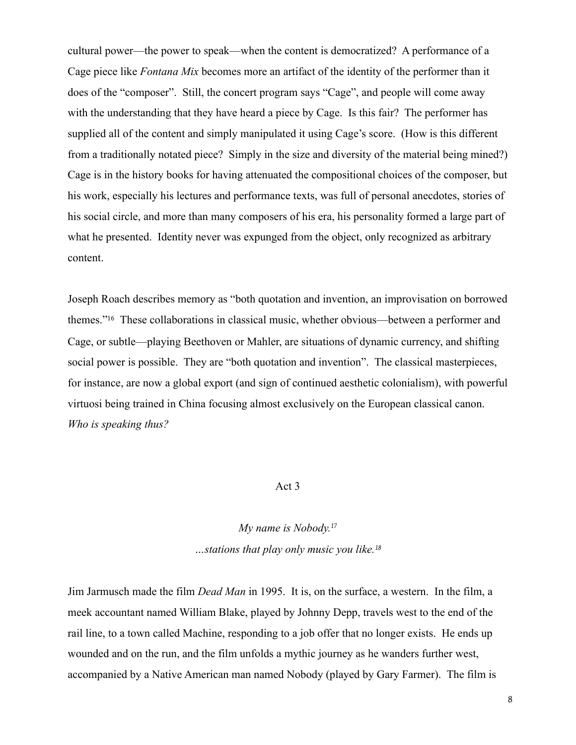cultural power—the power to speak—when the content is democratized? A performance of a Cage piece like *Fontana Mix* becomes more an artifact of the identity of the performer than it does of the "composer". Still, the concert program says "Cage", and people will come away with the understanding that they have heard a piece by Cage. Is this fair? The performer has supplied all of the content and simply manipulated it using Cage's score. (How is this different from a traditionally notated piece? Simply in the size and diversity of the material being mined?) Cage is in the history books for having attenuated the compositional choices of the composer, but his work, especially his lectures and performance texts, was full of personal anecdotes, stories of his social circle, and more than many composers of his era, his personality formed a large part of what he presented. Identity never was expunged from the object, only recognized as arbitrary content.

Joseph Roach describes memory as "both quotation and invention, an improvisation on borrowed themes."[16](#page-14-15) These collaborations in classical music, whether obvious—between a performer and Cage, or subtle—playing Beethoven or Mahler, are situations of dynamic currency, and shifting social power is possible. They are "both quotation and invention". The classical masterpieces, for instance, are now a global export (and sign of continued aesthetic colonialism), with powerful virtuosi being trained in China focusing almost exclusively on the European classical canon. *Who is speaking thus?*

### Act 3

*My name is Nobody.[17](#page-14-16) …stations that play only music you like.[18](#page-14-17)*

Jim Jarmusch made the film *Dead Man* in 1995. It is, on the surface, a western. In the film, a meek accountant named William Blake, played by Johnny Depp, travels west to the end of the rail line, to a town called Machine, responding to a job offer that no longer exists. He ends up wounded and on the run, and the film unfolds a mythic journey as he wanders further west, accompanied by a Native American man named Nobody (played by Gary Farmer). The film is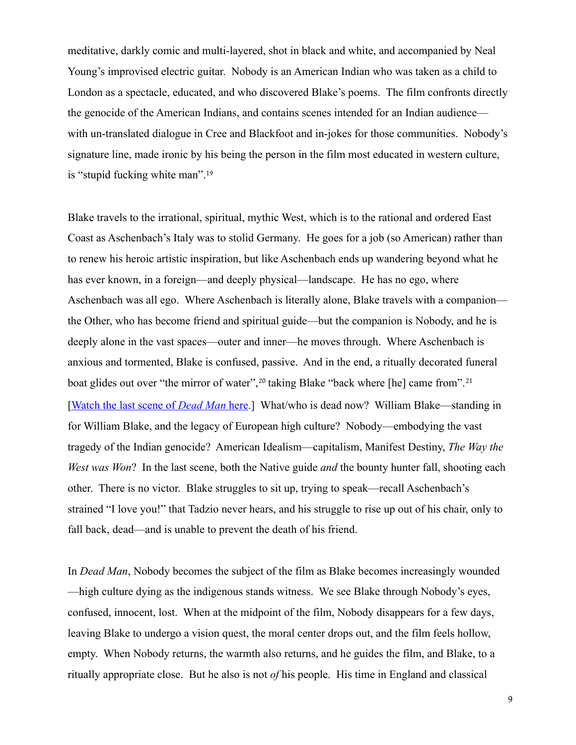meditative, darkly comic and multi-layered, shot in black and white, and accompanied by Neal Young's improvised electric guitar. Nobody is an American Indian who was taken as a child to London as a spectacle, educated, and who discovered Blake's poems. The film confronts directly the genocide of the American Indians, and contains scenes intended for an Indian audience with un-translated dialogue in Cree and Blackfoot and in-jokes for those communities. Nobody's signature line, made ironic by his being the person in the film most educated in western culture, is "stupid fucking white man".[19](#page-14-18)

Blake travels to the irrational, spiritual, mythic West, which is to the rational and ordered East Coast as Aschenbach's Italy was to stolid Germany. He goes for a job (so American) rather than to renew his heroic artistic inspiration, but like Aschenbach ends up wandering beyond what he has ever known, in a foreign—and deeply physical—landscape. He has no ego, where Aschenbach was all ego. Where Aschenbach is literally alone, Blake travels with a companion the Other, who has become friend and spiritual guide—but the companion is Nobody, and he is deeply alone in the vast spaces—outer and inner—he moves through. Where Aschenbach is anxious and tormented, Blake is confused, passive. And in the end, a ritually decorated funeral boat glides out over "the mirror of water",<sup>[20](#page-14-19)</sup> taking Blake "back where [he] came from".<sup>[21](#page-14-20)</sup> [[Watch the last scene of](http://www.youtube.com/watch?v=46fWlFktqh8) *Dead Man* here.] What/who is dead now? William Blake—standing in for William Blake, and the legacy of European high culture? Nobody—embodying the vast tragedy of the Indian genocide? American Idealism—capitalism, Manifest Destiny, *The Way the West was Won*? In the last scene, both the Native guide *and* the bounty hunter fall, shooting each other. There is no victor. Blake struggles to sit up, trying to speak—recall Aschenbach's strained "I love you!" that Tadzio never hears, and his struggle to rise up out of his chair, only to fall back, dead—and is unable to prevent the death of his friend.

In *Dead Man*, Nobody becomes the subject of the film as Blake becomes increasingly wounded —high culture dying as the indigenous stands witness. We see Blake through Nobody's eyes, confused, innocent, lost. When at the midpoint of the film, Nobody disappears for a few days, leaving Blake to undergo a vision quest, the moral center drops out, and the film feels hollow, empty. When Nobody returns, the warmth also returns, and he guides the film, and Blake, to a ritually appropriate close. But he also is not *of* his people. His time in England and classical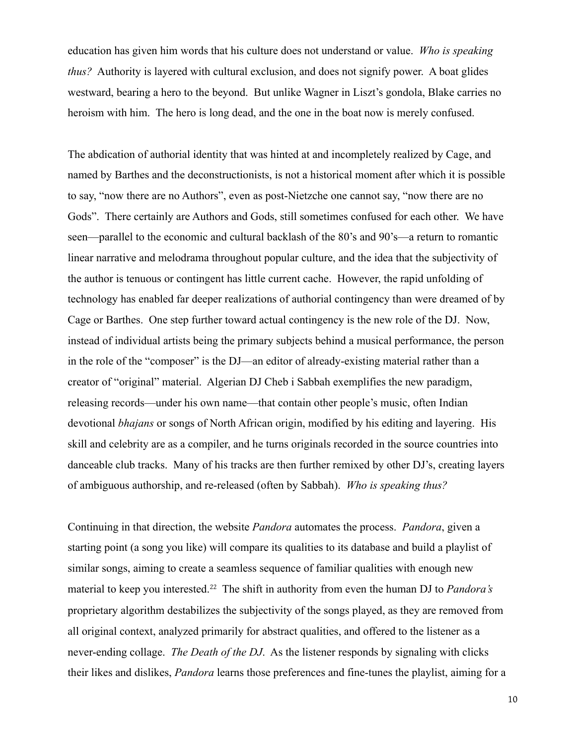education has given him words that his culture does not understand or value. *Who is speaking thus?* Authority is layered with cultural exclusion, and does not signify power. A boat glides westward, bearing a hero to the beyond. But unlike Wagner in Liszt's gondola, Blake carries no heroism with him. The hero is long dead, and the one in the boat now is merely confused.

The abdication of authorial identity that was hinted at and incompletely realized by Cage, and named by Barthes and the deconstructionists, is not a historical moment after which it is possible to say, "now there are no Authors", even as post-Nietzche one cannot say, "now there are no Gods". There certainly are Authors and Gods, still sometimes confused for each other. We have seen—parallel to the economic and cultural backlash of the 80's and 90's—a return to romantic linear narrative and melodrama throughout popular culture, and the idea that the subjectivity of the author is tenuous or contingent has little current cache. However, the rapid unfolding of technology has enabled far deeper realizations of authorial contingency than were dreamed of by Cage or Barthes. One step further toward actual contingency is the new role of the DJ. Now, instead of individual artists being the primary subjects behind a musical performance, the person in the role of the "composer" is the DJ—an editor of already-existing material rather than a creator of "original" material. Algerian DJ Cheb i Sabbah exemplifies the new paradigm, releasing records—under his own name—that contain other people's music, often Indian devotional *bhajans* or songs of North African origin, modified by his editing and layering. His skill and celebrity are as a compiler, and he turns originals recorded in the source countries into danceable club tracks. Many of his tracks are then further remixed by other DJ's, creating layers of ambiguous authorship, and re-released (often by Sabbah). *Who is speaking thus?*

Continuing in that direction, the website *Pandora* automates the process. *Pandora*, given a starting point (a song you like) will compare its qualities to its database and build a playlist of similar songs, aiming to create a seamless sequence of familiar qualities with enough new material to keep you interested.[22](#page-14-21) The shift in authority from even the human DJ to *Pandora's* proprietary algorithm destabilizes the subjectivity of the songs played, as they are removed from all original context, analyzed primarily for abstract qualities, and offered to the listener as a never-ending collage. *The Death of the DJ*. As the listener responds by signaling with clicks their likes and dislikes, *Pandora* learns those preferences and fine-tunes the playlist, aiming for a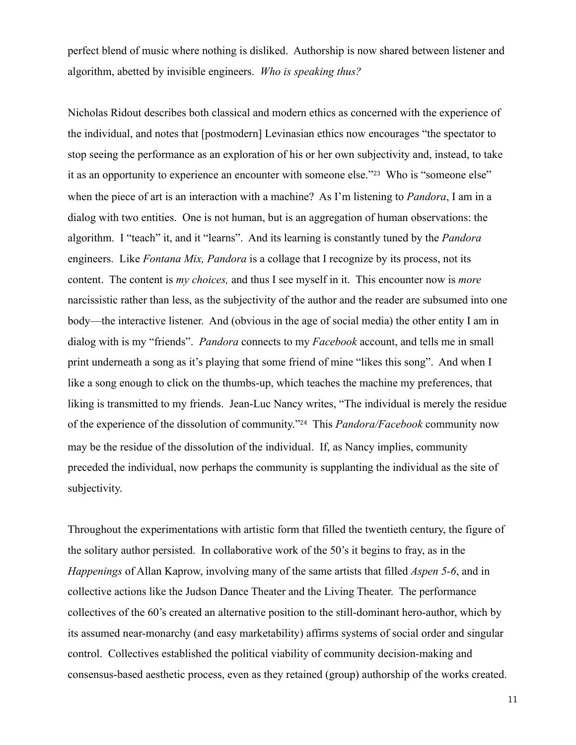perfect blend of music where nothing is disliked. Authorship is now shared between listener and algorithm, abetted by invisible engineers. *Who is speaking thus?*

Nicholas Ridout describes both classical and modern ethics as concerned with the experience of the individual, and notes that [postmodern] Levinasian ethics now encourages "the spectator to stop seeing the performance as an exploration of his or her own subjectivity and, instead, to take it as an opportunity to experience an encounter with someone else."[23](#page-14-22) Who is "someone else" when the piece of art is an interaction with a machine? As I'm listening to *Pandora*, I am in a dialog with two entities. One is not human, but is an aggregation of human observations: the algorithm. I "teach" it, and it "learns". And its learning is constantly tuned by the *Pandora* engineers. Like *Fontana Mix, Pandora* is a collage that I recognize by its process, not its content. The content is *my choices,* and thus I see myself in it. This encounter now is *more* narcissistic rather than less, as the subjectivity of the author and the reader are subsumed into one body—the interactive listener. And (obvious in the age of social media) the other entity I am in dialog with is my "friends". *Pandora* connects to my *Facebook* account, and tells me in small print underneath a song as it's playing that some friend of mine "likes this song". And when I like a song enough to click on the thumbs-up, which teaches the machine my preferences, that liking is transmitted to my friends. Jean-Luc Nancy writes, "The individual is merely the residue of the experience of the dissolution of community."[24](#page-14-23) This *Pandora/Facebook* community now may be the residue of the dissolution of the individual. If, as Nancy implies, community preceded the individual, now perhaps the community is supplanting the individual as the site of subjectivity.

Throughout the experimentations with artistic form that filled the twentieth century, the figure of the solitary author persisted. In collaborative work of the 50's it begins to fray, as in the *Happenings* of Allan Kaprow, involving many of the same artists that filled *Aspen 5-6*, and in collective actions like the Judson Dance Theater and the Living Theater. The performance collectives of the 60's created an alternative position to the still-dominant hero-author, which by its assumed near-monarchy (and easy marketability) affirms systems of social order and singular control. Collectives established the political viability of community decision-making and consensus-based aesthetic process, even as they retained (group) authorship of the works created.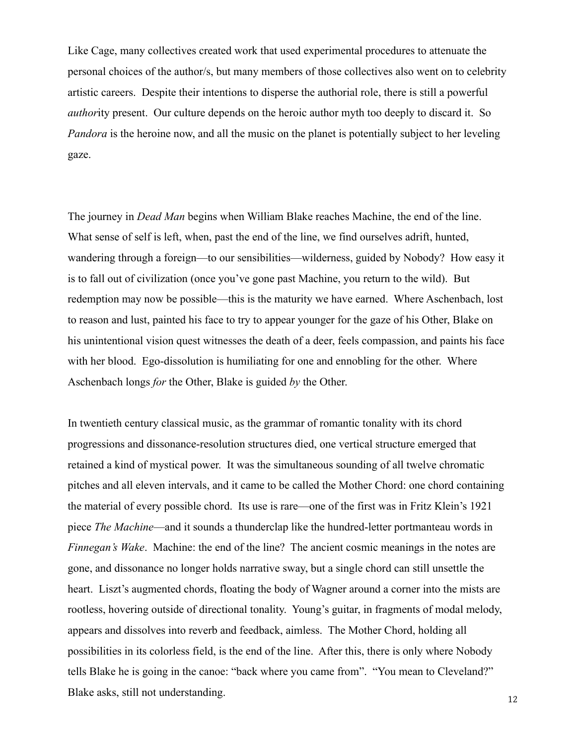Like Cage, many collectives created work that used experimental procedures to attenuate the personal choices of the author/s, but many members of those collectives also went on to celebrity artistic careers. Despite their intentions to disperse the authorial role, there is still a powerful *author*ity present. Our culture depends on the heroic author myth too deeply to discard it. So *Pandora* is the heroine now, and all the music on the planet is potentially subject to her leveling gaze.

The journey in *Dead Man* begins when William Blake reaches Machine, the end of the line. What sense of self is left, when, past the end of the line, we find ourselves adrift, hunted, wandering through a foreign—to our sensibilities—wilderness, guided by Nobody? How easy it is to fall out of civilization (once you've gone past Machine, you return to the wild). But redemption may now be possible—this is the maturity we have earned. Where Aschenbach, lost to reason and lust, painted his face to try to appear younger for the gaze of his Other, Blake on his unintentional vision quest witnesses the death of a deer, feels compassion, and paints his face with her blood. Ego-dissolution is humiliating for one and ennobling for the other. Where Aschenbach longs *for* the Other, Blake is guided *by* the Other.

In twentieth century classical music, as the grammar of romantic tonality with its chord progressions and dissonance-resolution structures died, one vertical structure emerged that retained a kind of mystical power. It was the simultaneous sounding of all twelve chromatic pitches and all eleven intervals, and it came to be called the Mother Chord: one chord containing the material of every possible chord. Its use is rare—one of the first was in Fritz Klein's 1921 piece *The Machine*—and it sounds a thunderclap like the hundred-letter portmanteau words in *Finnegan's Wake.* Machine: the end of the line? The ancient cosmic meanings in the notes are gone, and dissonance no longer holds narrative sway, but a single chord can still unsettle the heart. Liszt's augmented chords, floating the body of Wagner around a corner into the mists are rootless, hovering outside of directional tonality. Young's guitar, in fragments of modal melody, appears and dissolves into reverb and feedback, aimless. The Mother Chord, holding all possibilities in its colorless field, is the end of the line. After this, there is only where Nobody tells Blake he is going in the canoe: "back where you came from". "You mean to Cleveland?" Blake asks, still not understanding.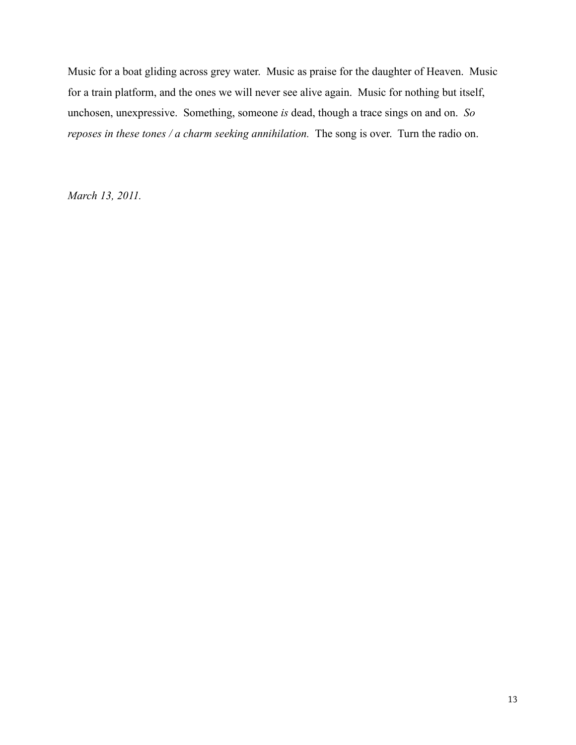Music for a boat gliding across grey water. Music as praise for the daughter of Heaven. Music for a train platform, and the ones we will never see alive again. Music for nothing but itself, unchosen, unexpressive. Something, someone *is* dead, though a trace sings on and on. *So reposes in these tones / a charm seeking annihilation.* The song is over. Turn the radio on.

*March 13, 2011.*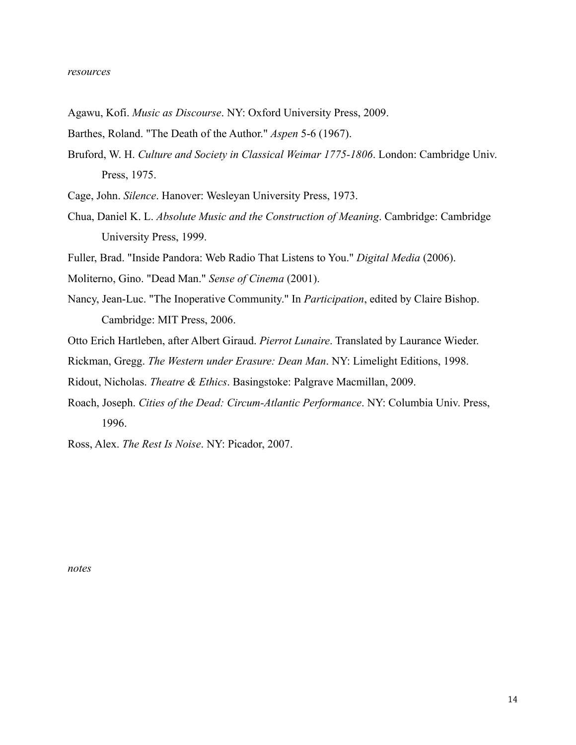- Agawu, Kofi. *Music as Discourse*. NY: Oxford University Press, 2009.
- Barthes, Roland. "The Death of the Author." *Aspen* 5-6 (1967).
- Bruford, W. H. *Culture and Society in Classical Weimar 1775-1806*. London: Cambridge Univ. Press, 1975.
- Cage, John. *Silence*. Hanover: Wesleyan University Press, 1973.
- Chua, Daniel K. L. *Absolute Music and the Construction of Meaning*. Cambridge: Cambridge University Press, 1999.
- Fuller, Brad. "Inside Pandora: Web Radio That Listens to You." *Digital Media* (2006).
- Moliterno, Gino. "Dead Man." *Sense of Cinema* (2001).
- Nancy, Jean-Luc. "The Inoperative Community." In *Participation*, edited by Claire Bishop. Cambridge: MIT Press, 2006.
- Otto Erich Hartleben, after Albert Giraud. *Pierrot Lunaire*. Translated by Laurance Wieder.
- Rickman, Gregg. *The Western under Erasure: Dean Man*. NY: Limelight Editions, 1998.
- Ridout, Nicholas. *Theatre & Ethics*. Basingstoke: Palgrave Macmillan, 2009.
- Roach, Joseph. *Cities of the Dead: Circum-Atlantic Performance*. NY: Columbia Univ. Press, 1996.

Ross, Alex. *The Rest Is Noise*. NY: Picador, 2007.

*notes*